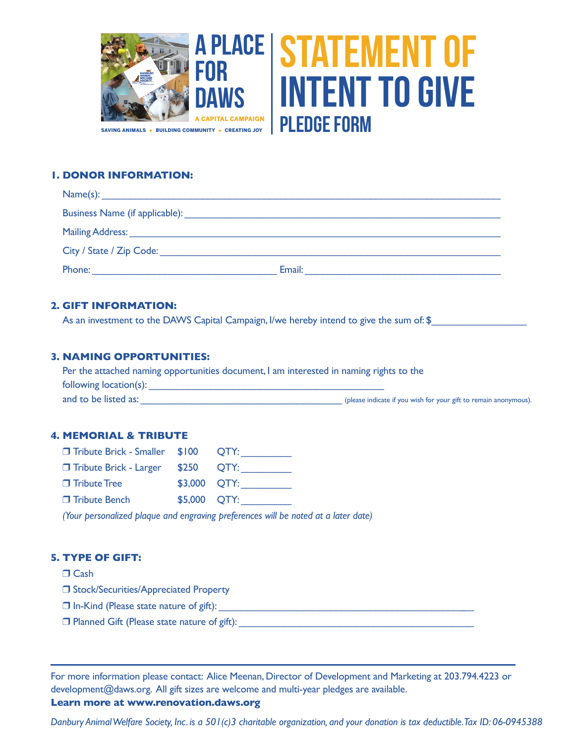

# **1. DONOR INFORMATION:**

| Name(s):                 |        |
|--------------------------|--------|
|                          |        |
|                          |        |
| City / State / Zip Code: |        |
| Phone:                   | Email: |

## **2. GIFT INFORMATION:**

As an investment to the DAWS Capital Campaign, I/we hereby intend to give the sum of: \$\_\_\_\_\_\_\_\_\_\_\_\_\_\_\_\_\_\_\_\_\_\_\_

# **3. NAMING OPPORTUNITIES:**

| Per the attached naming opportunities document, I am interested in naming rights to the |                                                                  |  |
|-----------------------------------------------------------------------------------------|------------------------------------------------------------------|--|
| following location(s):                                                                  |                                                                  |  |
| and to be listed as:                                                                    | (please indicate if you wish for your gift to remain anonymous). |  |

### **4. MEMORIAL & TRIBUTE**

| <b>T</b> Tribute Brick - Smaller \$100 QTY: |              |             |
|---------------------------------------------|--------------|-------------|
| $\Box$ Tribute Brick - Larger               |              | $$250$ QTY: |
| $\Box$ Tribute Tree                         | \$3,000 OTY: |             |
| □ Tribute Bench                             | \$5,000 QTY: |             |

*(Your personalized plaque and engraving preferences will be noted at a later date)*

# **5. TYPE OF GIFT:**

# $\Box$  Cash

**J** Stock/Securities/Appreciated Property

- r In-Kind (Please state nature of gift): \_\_\_\_\_\_\_\_\_\_\_\_\_\_\_\_\_\_\_\_\_\_\_\_\_\_\_\_\_\_\_\_\_\_\_\_\_\_\_\_\_\_\_\_\_\_
- $\Box$  Planned Gift (Please state nature of gift):

For more information please contact: Alice Meenan, Director of Development and Marketing at 203.794.4223 or development@daws.org. All gift sizes are welcome and multi-year pledges are available.

# **Learn more at www.renovation.daws.org**

*Danbury Animal Welfare Society, Inc. is a 501(c)3 charitable organization, and your donation is tax deductible. Tax ID: 06-0945388*